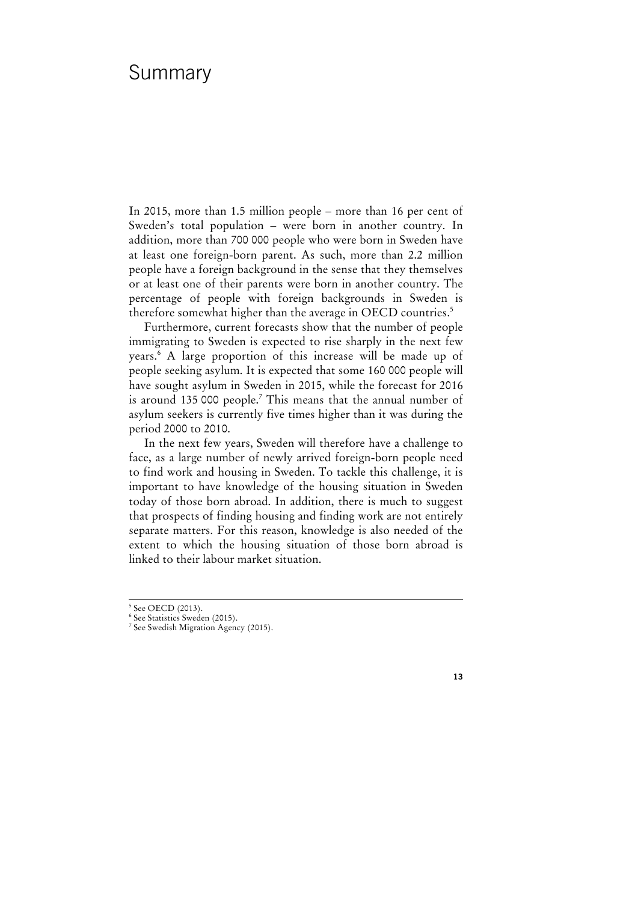# Summary

In 2015, more than 1.5 million people – more than 16 per cent of Sweden's total population – were born in another country. In addition, more than 700 000 people who were born in Sweden have at least one foreign-born parent. As such, more than 2.2 million people have a foreign background in the sense that they themselves or at least one of their parents were born in another country. The percentage of people with foreign backgrounds in Sweden is therefore somewhat higher than the average in OECD countries.<sup>5</sup>

Furthermore, current forecasts show that the number of people immigrating to Sweden is expected to rise sharply in the next few years.6 A large proportion of this increase will be made up of people seeking asylum. It is expected that some 160 000 people will have sought asylum in Sweden in 2015, while the forecast for 2016 is around 135 000 people.<sup>7</sup> This means that the annual number of asylum seekers is currently five times higher than it was during the period 2000 to 2010.

In the next few years, Sweden will therefore have a challenge to face, as a large number of newly arrived foreign-born people need to find work and housing in Sweden. To tackle this challenge, it is important to have knowledge of the housing situation in Sweden today of those born abroad. In addition, there is much to suggest that prospects of finding housing and finding work are not entirely separate matters. For this reason, knowledge is also needed of the extent to which the housing situation of those born abroad is linked to their labour market situation.

<sup>-&</sup>lt;br>5 <sup>5</sup> See OECD (2013).

<sup>6</sup> See Statistics Sweden (2015).

<sup>7</sup> See Swedish Migration Agency (2015).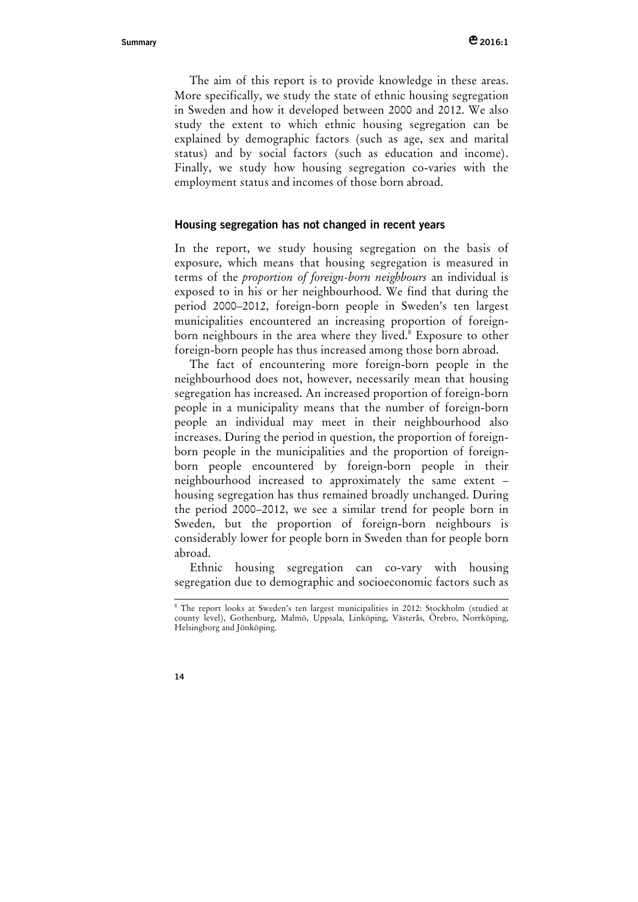The aim of this report is to provide knowledge in these areas. More specifically, we study the state of ethnic housing segregation in Sweden and how it developed between 2000 and 2012. We also study the extent to which ethnic housing segregation can be explained by demographic factors (such as age, sex and marital status) and by social factors (such as education and income). Finally, we study how housing segregation co-varies with the employment status and incomes of those born abroad.

## **Housing segregation has not changed in recent years**

In the report, we study housing segregation on the basis of exposure, which means that housing segregation is measured in terms of the *proportion of foreign-born neighbours* an individual is exposed to in his or her neighbourhood. We find that during the period 2000–2012, foreign-born people in Sweden's ten largest municipalities encountered an increasing proportion of foreignborn neighbours in the area where they lived.<sup>8</sup> Exposure to other foreign-born people has thus increased among those born abroad.

The fact of encountering more foreign-born people in the neighbourhood does not, however, necessarily mean that housing segregation has increased. An increased proportion of foreign-born people in a municipality means that the number of foreign-born people an individual may meet in their neighbourhood also increases. During the period in question, the proportion of foreignborn people in the municipalities and the proportion of foreignborn people encountered by foreign-born people in their neighbourhood increased to approximately the same extent – housing segregation has thus remained broadly unchanged. During the period 2000–2012, we see a similar trend for people born in Sweden, but the proportion of foreign-born neighbours is considerably lower for people born in Sweden than for people born abroad.

Ethnic housing segregation can co-vary with housing segregation due to demographic and socioeconomic factors such as

 $\frac{1}{8}$  The report looks at Sweden's ten largest municipalities in 2012: Stockholm (studied at county level), Gothenburg, Malmö, Uppsala, Linköping, Västerås, Örebro, Norrköping, Helsingborg and Jönköping.

**<sup>14</sup>**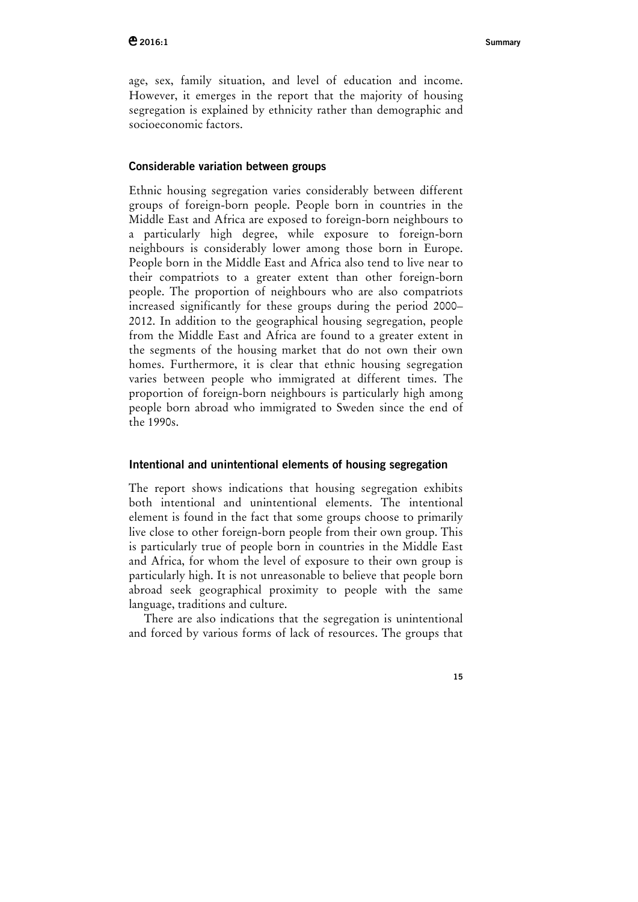age, sex, family situation, and level of education and income. However, it emerges in the report that the majority of housing segregation is explained by ethnicity rather than demographic and socioeconomic factors.

# **Considerable variation between groups**

Ethnic housing segregation varies considerably between different groups of foreign-born people. People born in countries in the Middle East and Africa are exposed to foreign-born neighbours to a particularly high degree, while exposure to foreign-born neighbours is considerably lower among those born in Europe. People born in the Middle East and Africa also tend to live near to their compatriots to a greater extent than other foreign-born people. The proportion of neighbours who are also compatriots increased significantly for these groups during the period 2000– 2012. In addition to the geographical housing segregation, people from the Middle East and Africa are found to a greater extent in the segments of the housing market that do not own their own homes. Furthermore, it is clear that ethnic housing segregation varies between people who immigrated at different times. The proportion of foreign-born neighbours is particularly high among people born abroad who immigrated to Sweden since the end of the 1990s.

## **Intentional and unintentional elements of housing segregation**

The report shows indications that housing segregation exhibits both intentional and unintentional elements. The intentional element is found in the fact that some groups choose to primarily live close to other foreign-born people from their own group. This is particularly true of people born in countries in the Middle East and Africa, for whom the level of exposure to their own group is particularly high. It is not unreasonable to believe that people born abroad seek geographical proximity to people with the same language, traditions and culture.

There are also indications that the segregation is unintentional and forced by various forms of lack of resources. The groups that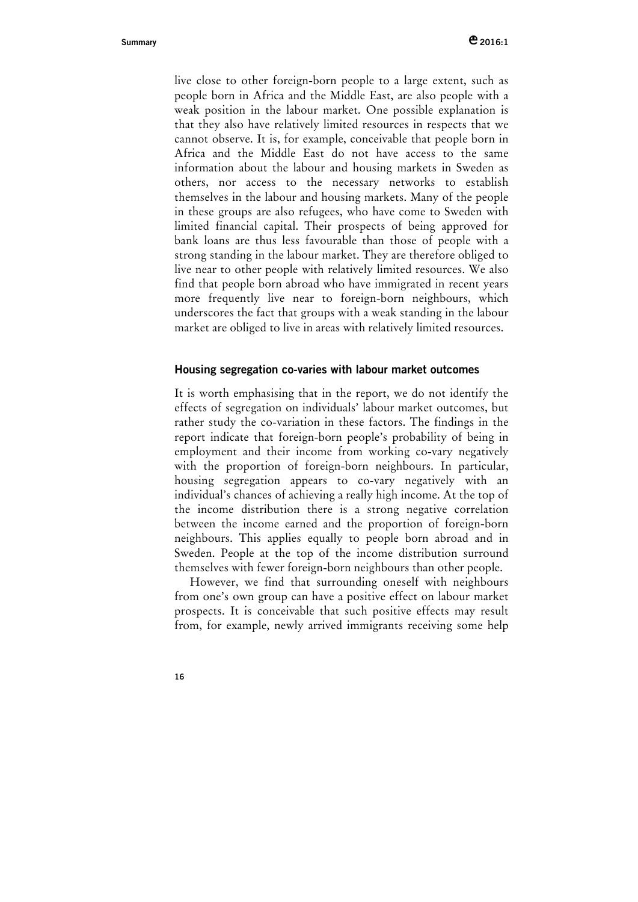live close to other foreign-born people to a large extent, such as people born in Africa and the Middle East, are also people with a weak position in the labour market. One possible explanation is that they also have relatively limited resources in respects that we cannot observe. It is, for example, conceivable that people born in Africa and the Middle East do not have access to the same information about the labour and housing markets in Sweden as others, nor access to the necessary networks to establish themselves in the labour and housing markets. Many of the people in these groups are also refugees, who have come to Sweden with limited financial capital. Their prospects of being approved for bank loans are thus less favourable than those of people with a strong standing in the labour market. They are therefore obliged to live near to other people with relatively limited resources. We also find that people born abroad who have immigrated in recent years more frequently live near to foreign-born neighbours, which underscores the fact that groups with a weak standing in the labour market are obliged to live in areas with relatively limited resources.

### **Housing segregation co-varies with labour market outcomes**

It is worth emphasising that in the report, we do not identify the effects of segregation on individuals' labour market outcomes, but rather study the co-variation in these factors. The findings in the report indicate that foreign-born people's probability of being in employment and their income from working co-vary negatively with the proportion of foreign-born neighbours. In particular, housing segregation appears to co-vary negatively with an individual's chances of achieving a really high income. At the top of the income distribution there is a strong negative correlation between the income earned and the proportion of foreign-born neighbours. This applies equally to people born abroad and in Sweden. People at the top of the income distribution surround themselves with fewer foreign-born neighbours than other people.

However, we find that surrounding oneself with neighbours from one's own group can have a positive effect on labour market prospects. It is conceivable that such positive effects may result from, for example, newly arrived immigrants receiving some help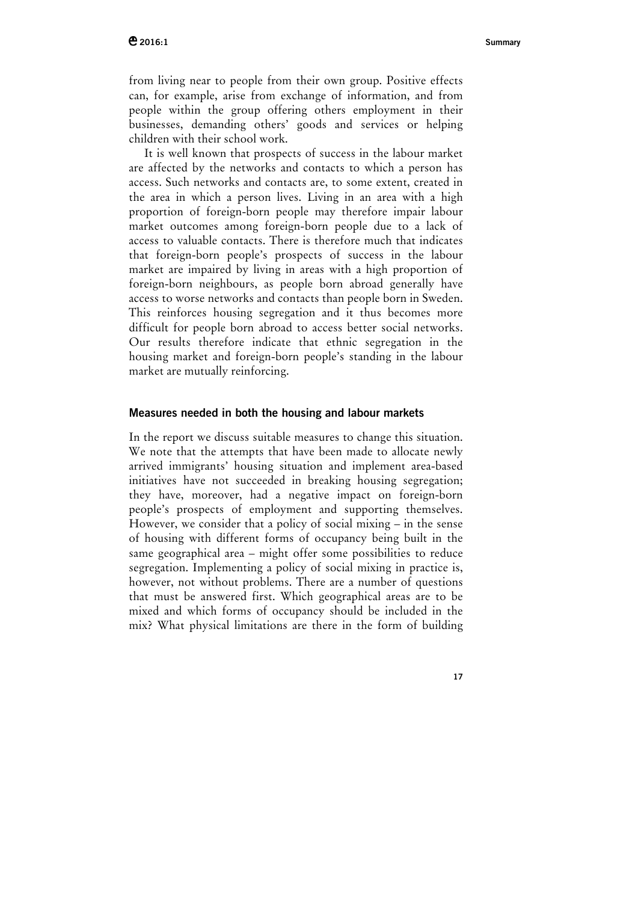from living near to people from their own group. Positive effects can, for example, arise from exchange of information, and from people within the group offering others employment in their businesses, demanding others' goods and services or helping children with their school work.

It is well known that prospects of success in the labour market are affected by the networks and contacts to which a person has access. Such networks and contacts are, to some extent, created in the area in which a person lives. Living in an area with a high proportion of foreign-born people may therefore impair labour market outcomes among foreign-born people due to a lack of access to valuable contacts. There is therefore much that indicates that foreign-born people's prospects of success in the labour market are impaired by living in areas with a high proportion of foreign-born neighbours, as people born abroad generally have access to worse networks and contacts than people born in Sweden. This reinforces housing segregation and it thus becomes more difficult for people born abroad to access better social networks. Our results therefore indicate that ethnic segregation in the housing market and foreign-born people's standing in the labour market are mutually reinforcing.

#### **Measures needed in both the housing and labour markets**

In the report we discuss suitable measures to change this situation. We note that the attempts that have been made to allocate newly arrived immigrants' housing situation and implement area-based initiatives have not succeeded in breaking housing segregation; they have, moreover, had a negative impact on foreign-born people's prospects of employment and supporting themselves. However, we consider that a policy of social mixing – in the sense of housing with different forms of occupancy being built in the same geographical area – might offer some possibilities to reduce segregation. Implementing a policy of social mixing in practice is, however, not without problems. There are a number of questions that must be answered first. Which geographical areas are to be mixed and which forms of occupancy should be included in the mix? What physical limitations are there in the form of building